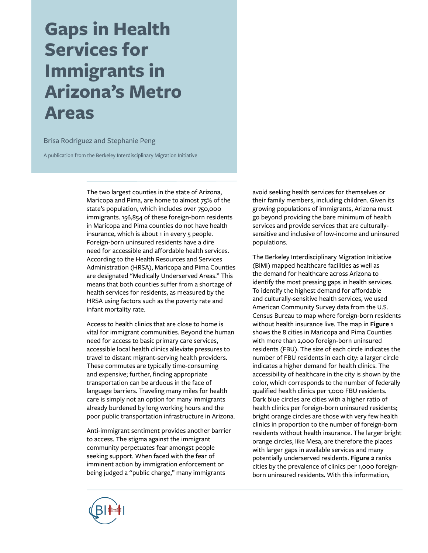# **Gaps in Health Services for Immigrants in Arizona's Metro Areas**

Brisa Rodriguez and Stephanie Peng

A publication from the Berkeley Interdisciplinary Migration Initiative

The two largest counties in the state of Arizona, Maricopa and Pima, are home to almost 75% of the state's population, which includes over 750,000 immigrants. 156,854 of these foreign-born residents in Maricopa and Pima counties do not have health insurance, which is about 1 in every 5 people. Foreign-born uninsured residents have a dire need for accessible and affordable health services. According to the Health Resources and Services Administration (HRSA), Maricopa and Pima Counties are designated "Medically Underserved Areas." This means that both counties suffer from a shortage of health services for residents, as measured by the HRSA using factors such as the poverty rate and infant mortality rate.

Access to health clinics that are close to home is vital for immigrant communities. Beyond the human need for access to basic primary care services, accessible local health clinics alleviate pressures to travel to distant migrant-serving health providers. These commutes are typically time-consuming and expensive; further, finding appropriate transportation can be arduous in the face of language barriers. Traveling many miles for health care is simply not an option for many immigrants already burdened by long working hours and the poor public transportation infrastructure in Arizona.

Anti-immigrant sentiment provides another barrier to access. The stigma against the immigrant community perpetuates fear amongst people seeking support. When faced with the fear of imminent action by immigration enforcement or being judged a "public charge," many immigrants

avoid seeking health services for themselves or their family members, including children. Given its growing populations of immigrants, Arizona must go beyond providing the bare minimum of health services and provide services that are culturallysensitive and inclusive of low-income and uninsured populations.

The Berkeley Interdisciplinary Migration Initiative (BIMI) mapped healthcare facilities as well as the demand for healthcare across Arizona to identify the most pressing gaps in health services. To identify the highest demand for affordable and culturally-sensitive health services, we used American Community Survey data from the U.S. Census Bureau to map where foreign-born residents without health insurance live. The map in **Figure 1** shows the 8 cities in Maricopa and Pima Counties with more than 2,000 foreign-born uninsured residents (FBU). The size of each circle indicates the number of FBU residents in each city: a larger circle indicates a higher demand for health clinics. The accessibility of healthcare in the city is shown by the color, which corresponds to the number of federally qualified health clinics per 1,000 FBU residents. Dark blue circles are cities with a higher ratio of health clinics per foreign-born uninsured residents; bright orange circles are those with very few health clinics in proportion to the number of foreign-born residents without health insurance. The larger bright orange circles, like Mesa, are therefore the places with larger gaps in available services and many potentially underserved residents. **Figure 2** ranks cities by the prevalence of clinics per 1,000 foreignborn uninsured residents. With this information,

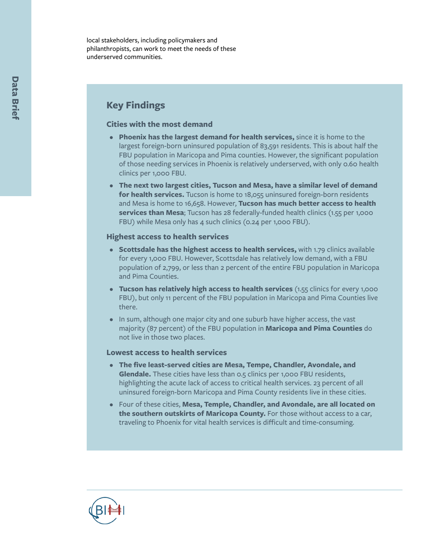local stakeholders, including policymakers and philanthropists, can work to meet the needs of these underserved communities.

## **Key Findings**

#### **Cities with the most demand**

- **Phoenix has the largest demand for health services,** since it is home to the largest foreign-born uninsured population of 83,591 residents. This is about half the FBU population in Maricopa and Pima counties. However, the significant population of those needing services in Phoenix is relatively underserved, with only 0.60 health clinics per 1,000 FBU.
- **The next two largest cities, Tucson and Mesa, have a similar level of demand for health services.** Tucson is home to 18,055 uninsured foreign-born residents and Mesa is home to 16,658. However, **Tucson has much better access to health services than Mesa**; Tucson has 28 federally-funded health clinics (1.55 per 1,000 FBU) while Mesa only has 4 such clinics (0.24 per 1,000 FBU).

#### **Highest access to health services**

- **Scottsdale has the highest access to health services,** with 1.79 clinics available for every 1,000 FBU. However, Scottsdale has relatively low demand, with a FBU population of 2,799, or less than 2 percent of the entire FBU population in Maricopa and Pima Counties.
- **Tucson has relatively high access to health services** (1.55 clinics for every 1,000 FBU), but only 11 percent of the FBU population in Maricopa and Pima Counties live there.
- In sum, although one major city and one suburb have higher access, the vast majority (87 percent) of the FBU population in **Maricopa and Pima Counties** do not live in those two places.

#### **Lowest access to health services**

- **The five least-served cities are Mesa, Tempe, Chandler, Avondale, and Glendale.** These cities have less than 0.5 clinics per 1,000 FBU residents, highlighting the acute lack of access to critical health services. 23 percent of all uninsured foreign-born Maricopa and Pima County residents live in these cities.
- Four of these cities, **Mesa, Temple, Chandler, and Avondale, are all located on the southern outskirts of Maricopa County.** For those without access to a car, traveling to Phoenix for vital health services is difficult and time-consuming.

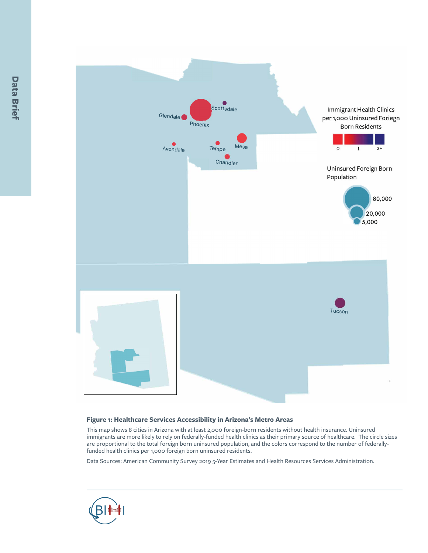

#### **Figure 1: Healthcare Services Accessibility in Arizona's Metro Areas**

This map shows 8 cities in Arizona with at least 2,000 foreign-born residents without health insurance. Uninsured immigrants are more likely to rely on federally-funded health clinics as their primary source of healthcare. The circle sizes are proportional to the total foreign born uninsured population, and the colors correspond to the number of federallyfunded health clinics per 1,000 foreign born uninsured residents.

Data Sources: American Community Survey 2019 5-Year Estimates and Health Resources Services Administration.

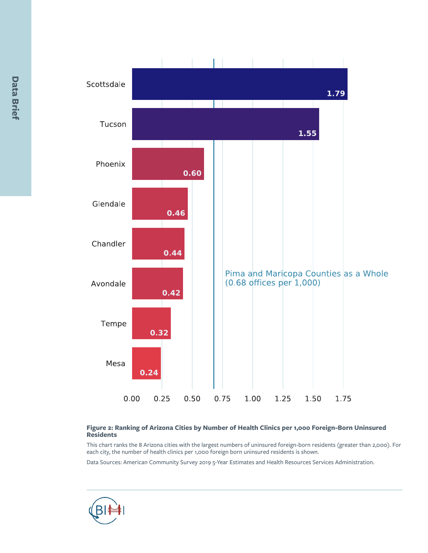

#### **Figure 2: Ranking of Arizona Cities by Number of Health Clinics per 1,000 Foreign-Born Uninsured Residents**

This chart ranks the 8 Arizona cities with the largest numbers of uninsured foreign-born residents (greater than 2,000). For each city, the number of health clinics per 1,000 foreign born uninsured residents is shown.

Data Sources: American Community Survey 2019 5-Year Estimates and Health Resources Services Administration.

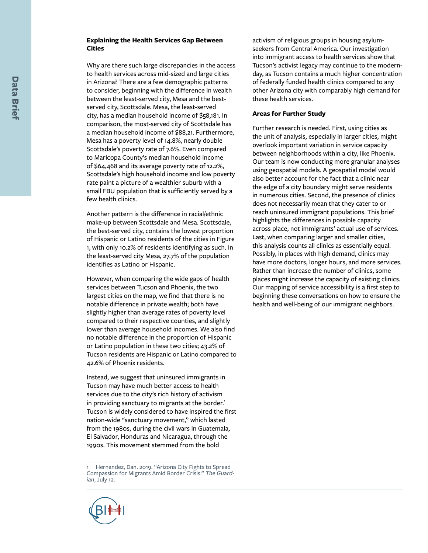#### **Explaining the Health Services Gap Between Cities**

Why are there such large discrepancies in the access to health services across mid-sized and large cities in Arizona? There are a few demographic patterns to consider, beginning with the difference in wealth between the least-served city, Mesa and the bestserved city, Scottsdale. Mesa, the least-served city, has a median household income of \$58,181. In comparison, the most-served city of Scottsdale has a median household income of \$88,21. Furthermore, Mesa has a poverty level of 14.8%, nearly double Scottsdale's poverty rate of 7.6%. Even compared to Maricopa County's median household income of \$64,468 and its average poverty rate of 12.2%, Scottsdale's high household income and low poverty rate paint a picture of a wealthier suburb with a small FBU population that is sufficiently served by a few health clinics.

Another pattern is the difference in racial/ethnic make-up between Scottsdale and Mesa. Scottsdale, the best-served city, contains the lowest proportion of Hispanic or Latino residents of the cities in Figure 1, with only 10.2% of residents identifying as such. In the least-served city Mesa, 27.7% of the population identifies as Latino or Hispanic.

However, when comparing the wide gaps of health services between Tucson and Phoenix, the two largest cities on the map, we find that there is no notable difference in private wealth; both have slightly higher than average rates of poverty level compared to their respective counties, and slightly lower than average household incomes. We also find no notable difference in the proportion of Hispanic or Latino population in these two cities; 43.2% of Tucson residents are Hispanic or Latino compared to 42.6% of Phoenix residents.

Instead, we suggest that uninsured immigrants in Tucson may have much better access to health services due to the city's rich history of activism in providing sanctuary to migrants at the border.<sup>1</sup> Tucson is widely considered to have inspired the first nation-wide "sanctuary movement," which lasted from the 1980s, during the civil wars in Guatemala, El Salvador, Honduras and Nicaragua, through the 1990s. This movement stemmed from the bold<br>1 Hernandez, Dan. 2019. "Arizona City Fights to Spread

[Compassion for Migrants Amid Border Crisis."](https://www.theguardian.com/us-news/2019/jul/12/tucson-arizona-migrant-compassion-border-crisis) *The Guard ian*[, July 12.](https://www.theguardian.com/us-news/2019/jul/12/tucson-arizona-migrant-compassion-border-crisis)



#### **Areas for Further Study**

Further research is needed. First, using cities as the unit of analysis, especially in larger cities, might overlook important variation in service capacity between neighborhoods within a city, like Phoenix. Our team is now conducting more granular analyses using geospatial models. A geospatial model would also better account for the fact that a clinic near the edge of a city boundary might serve residents in numerous cities. Second, the presence of clinics does not necessarily mean that they cater to or reach uninsured immigrant populations. This brief highlights the differences in possible capacity across place, not immigrants' actual use of services. Last, when comparing larger and smaller cities, this analysis counts all clinics as essentially equal. Possibly, in places with high demand, clinics may have more doctors, longer hours, and more services. Rather than increase the number of clinics, some places might increase the capacity of existing clinics. Our mapping of service accessibility is a first step to beginning these conversations on how to ensure the health and well-being of our immigrant neighbors.